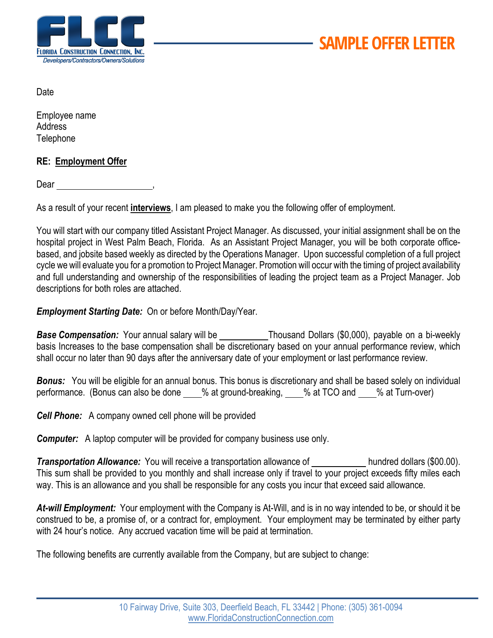

Date

Employee name Address **Telephone** 

## **RE: Employment Offer**

Dear and the state of the state of the state of the state of the state of the state of the state of the state of the state of the state of the state of the state of the state of the state of the state of the state of the s

As a result of your recent **interviews**, I am pleased to make you the following offer of employment.

You will start with our company titled Assistant Project Manager. As discussed, your initial assignment shall be on the hospital project in West Palm Beach, Florida. As an Assistant Project Manager, you will be both corporate officebased, and jobsite based weekly as directed by the Operations Manager. Upon successful completion of a full project cycle we will evaluate you for a promotion to Project Manager. Promotion will occur with the timing of project availability and full understanding and ownership of the responsibilities of leading the project team as a Project Manager. Job descriptions for both roles are attached.

*Employment Starting Date:* On or before Month/Day/Year.

**Base Compensation:** Your annual salary will be \_\_\_\_\_\_\_\_\_\_\_\_\_Thousand Dollars (\$0,000), payable on a bi-weekly basis Increases to the base compensation shall be discretionary based on your annual performance review, which shall occur no later than 90 days after the anniversary date of your employment or last performance review.

*Bonus:* You will be eligible for an annual bonus. This bonus is discretionary and shall be based solely on individual performance. (Bonus can also be done \_\_\_% at ground-breaking, \_\_\_% at TCO and \_\_\_% at Turn-over)

*Cell Phone:* A company owned cell phone will be provided

*Computer:* A laptop computer will be provided for company business use only.

**Transportation Allowance:** You will receive a transportation allowance of hundred dollars (\$00.00). This sum shall be provided to you monthly and shall increase only if travel to your project exceeds fifty miles each way. This is an allowance and you shall be responsible for any costs you incur that exceed said allowance.

*At-will Employment:* Your employment with the Company is At-Will, and is in no way intended to be, or should it be construed to be, a promise of, or a contract for, employment. Your employment may be terminated by either party with 24 hour's notice. Any accrued vacation time will be paid at termination.

The following benefits are currently available from the Company, but are subject to change: